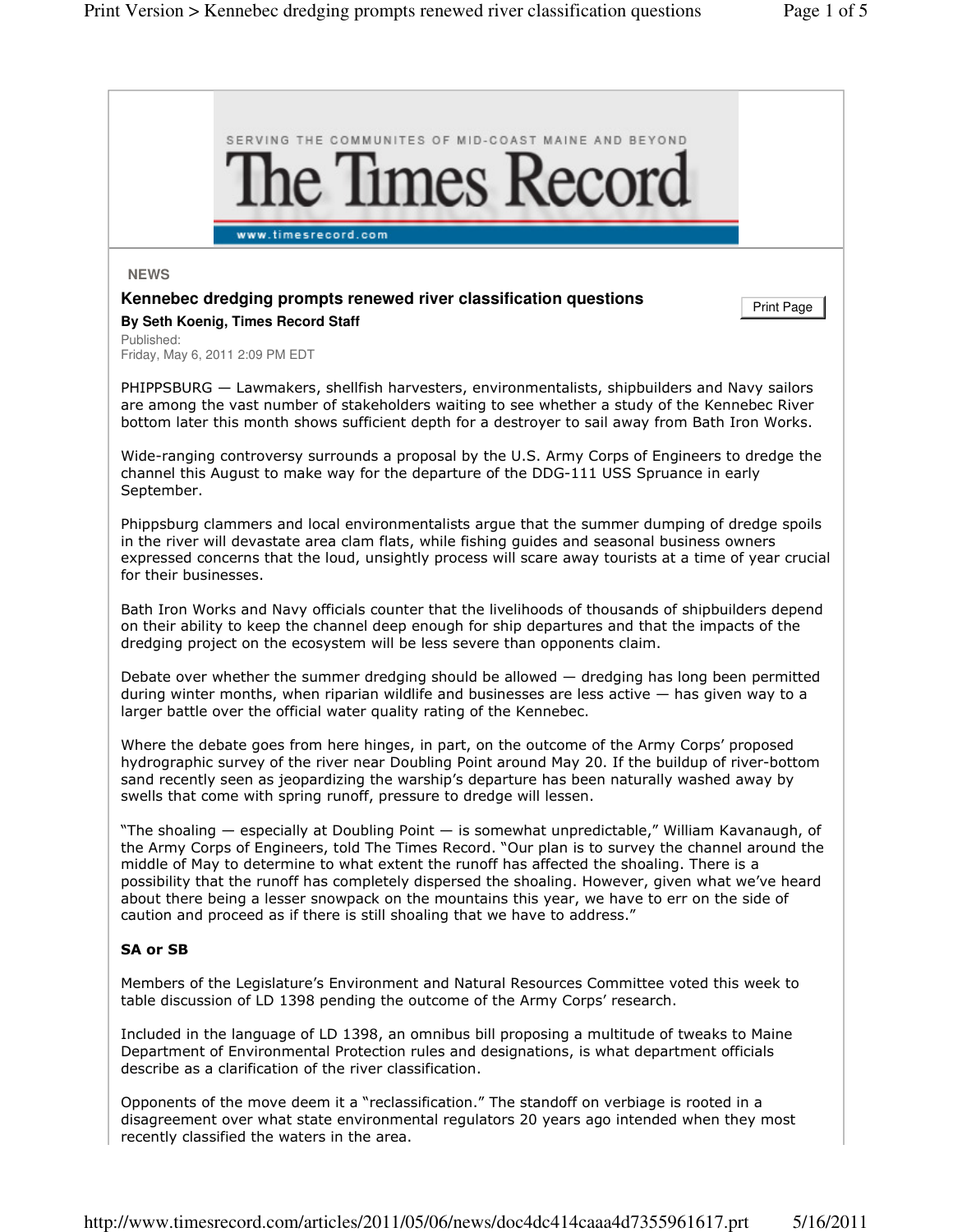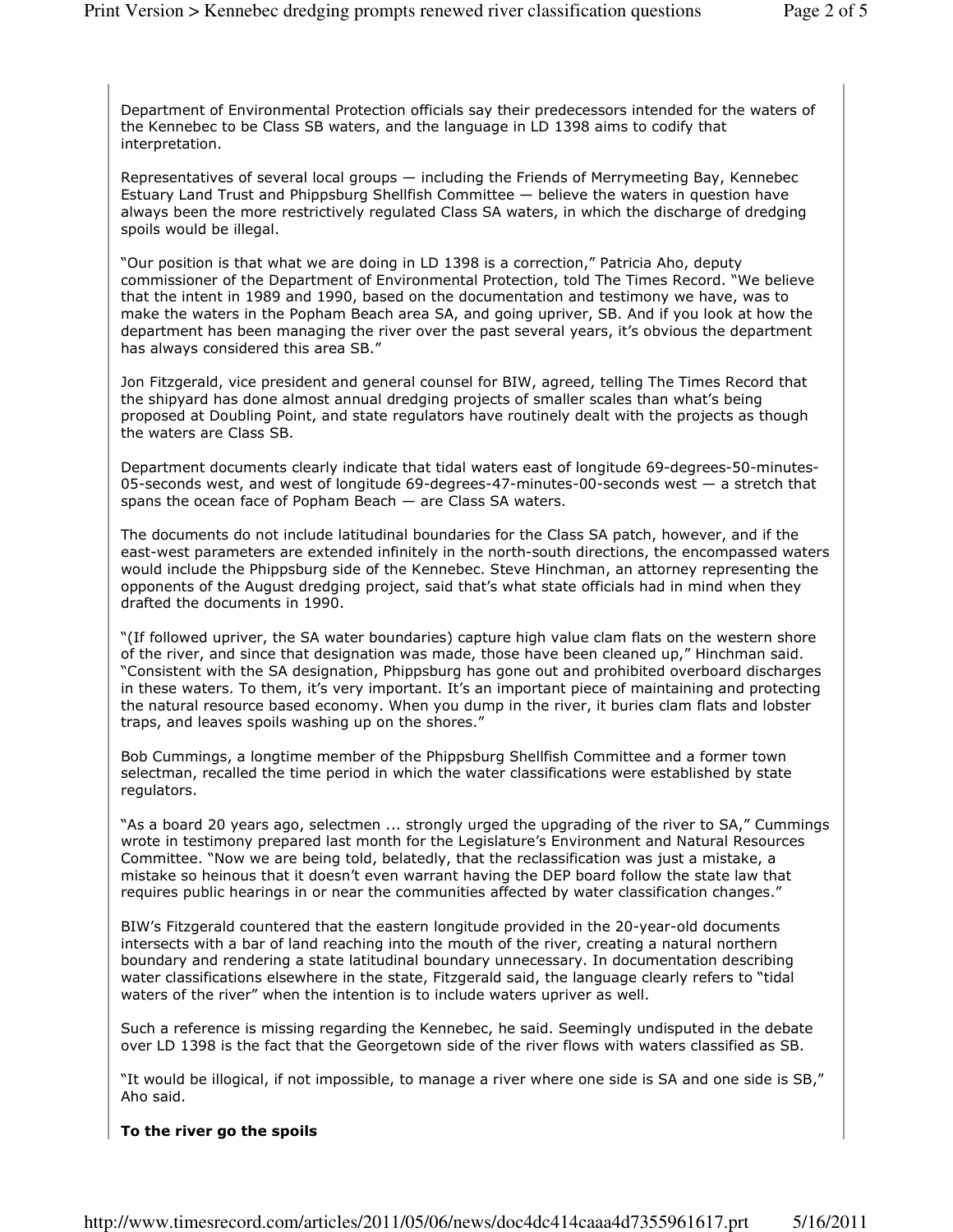Department of Environmental Protection officials say their predecessors intended for the waters of the Kennebec to be Class SB waters, and the language in LD 1398 aims to codify that interpretation.

Representatives of several local groups — including the Friends of Merrymeeting Bay, Kennebec Estuary Land Trust and Phippsburg Shellfish Committee — believe the waters in question have always been the more restrictively regulated Class SA waters, in which the discharge of dredging spoils would be illegal.

"Our position is that what we are doing in LD 1398 is a correction," Patricia Aho, deputy commissioner of the Department of Environmental Protection, told The Times Record. "We believe that the intent in 1989 and 1990, based on the documentation and testimony we have, was to make the waters in the Popham Beach area SA, and going upriver, SB. And if you look at how the department has been managing the river over the past several years, it's obvious the department has always considered this area SB."

Jon Fitzgerald, vice president and general counsel for BIW, agreed, telling The Times Record that the shipyard has done almost annual dredging projects of smaller scales than what's being proposed at Doubling Point, and state regulators have routinely dealt with the projects as though the waters are Class SB.

Department documents clearly indicate that tidal waters east of longitude 69-degrees-50-minutes-05-seconds west, and west of longitude 69-degrees-47-minutes-00-seconds west — a stretch that spans the ocean face of Popham Beach — are Class SA waters.

The documents do not include latitudinal boundaries for the Class SA patch, however, and if the east-west parameters are extended infinitely in the north-south directions, the encompassed waters would include the Phippsburg side of the Kennebec. Steve Hinchman, an attorney representing the opponents of the August dredging project, said that's what state officials had in mind when they drafted the documents in 1990.

"(If followed upriver, the SA water boundaries) capture high value clam flats on the western shore of the river, and since that designation was made, those have been cleaned up," Hinchman said. "Consistent with the SA designation, Phippsburg has gone out and prohibited overboard discharges in these waters. To them, it's very important. It's an important piece of maintaining and protecting the natural resource based economy. When you dump in the river, it buries clam flats and lobster traps, and leaves spoils washing up on the shores."

Bob Cummings, a longtime member of the Phippsburg Shellfish Committee and a former town selectman, recalled the time period in which the water classifications were established by state regulators.

"As a board 20 years ago, selectmen ... strongly urged the upgrading of the river to SA," Cummings wrote in testimony prepared last month for the Legislature's Environment and Natural Resources Committee. "Now we are being told, belatedly, that the reclassification was just a mistake, a mistake so heinous that it doesn't even warrant having the DEP board follow the state law that requires public hearings in or near the communities affected by water classification changes."

BIW's Fitzgerald countered that the eastern longitude provided in the 20-year-old documents intersects with a bar of land reaching into the mouth of the river, creating a natural northern boundary and rendering a state latitudinal boundary unnecessary. In documentation describing water classifications elsewhere in the state, Fitzgerald said, the language clearly refers to "tidal waters of the river" when the intention is to include waters upriver as well.

Such a reference is missing regarding the Kennebec, he said. Seemingly undisputed in the debate over LD 1398 is the fact that the Georgetown side of the river flows with waters classified as SB.

"It would be illogical, if not impossible, to manage a river where one side is SA and one side is SB," Aho said.

## To the river go the spoils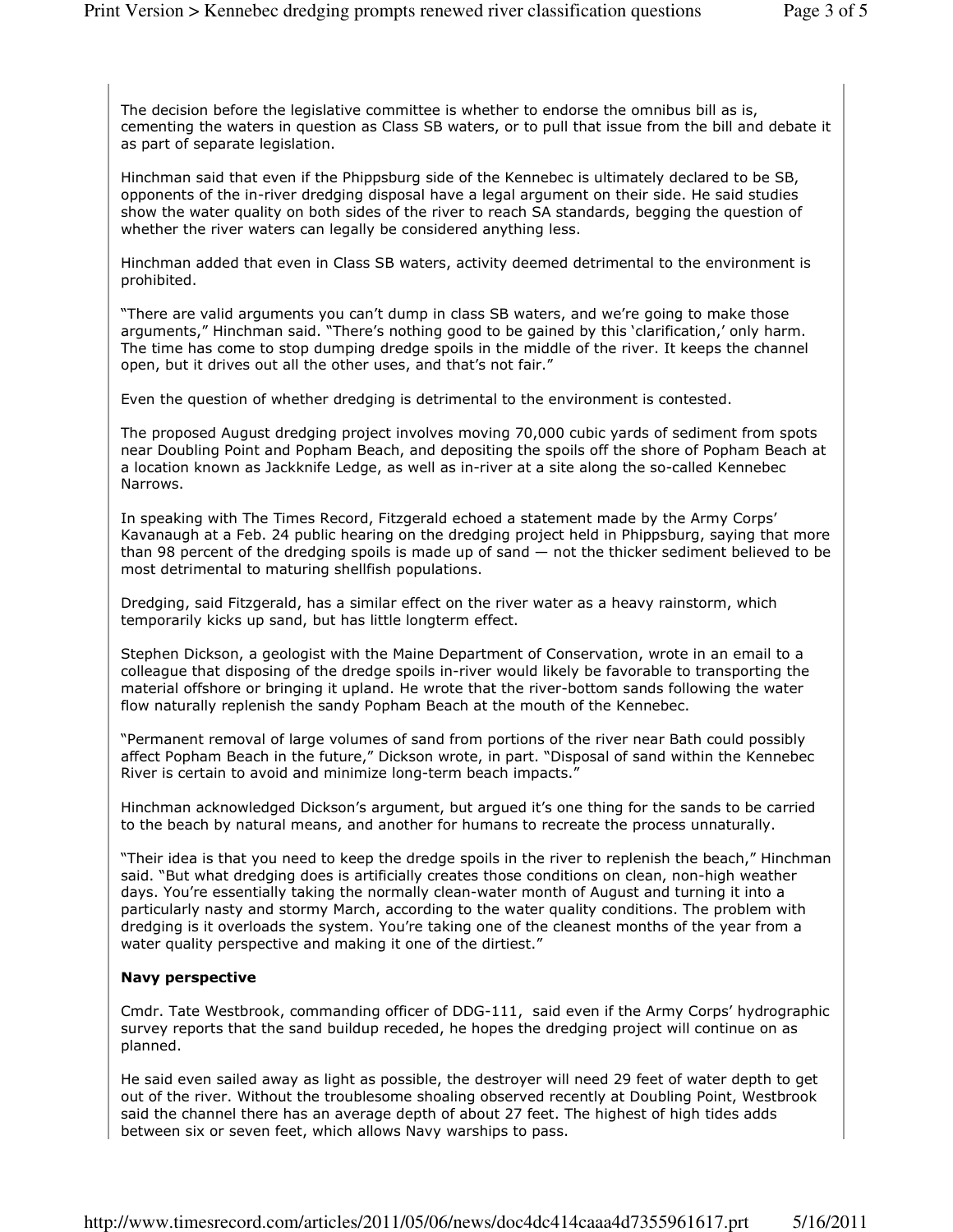The decision before the legislative committee is whether to endorse the omnibus bill as is, cementing the waters in question as Class SB waters, or to pull that issue from the bill and debate it as part of separate legislation.

Hinchman said that even if the Phippsburg side of the Kennebec is ultimately declared to be SB, opponents of the in-river dredging disposal have a legal argument on their side. He said studies show the water quality on both sides of the river to reach SA standards, begging the question of whether the river waters can legally be considered anything less.

Hinchman added that even in Class SB waters, activity deemed detrimental to the environment is prohibited.

"There are valid arguments you can't dump in class SB waters, and we're going to make those arguments," Hinchman said. "There's nothing good to be gained by this 'clarification,' only harm. The time has come to stop dumping dredge spoils in the middle of the river. It keeps the channel open, but it drives out all the other uses, and that's not fair."

Even the question of whether dredging is detrimental to the environment is contested.

The proposed August dredging project involves moving 70,000 cubic yards of sediment from spots near Doubling Point and Popham Beach, and depositing the spoils off the shore of Popham Beach at a location known as Jackknife Ledge, as well as in-river at a site along the so-called Kennebec Narrows.

In speaking with The Times Record, Fitzgerald echoed a statement made by the Army Corps' Kavanaugh at a Feb. 24 public hearing on the dredging project held in Phippsburg, saying that more than 98 percent of the dredging spoils is made up of sand — not the thicker sediment believed to be most detrimental to maturing shellfish populations.

Dredging, said Fitzgerald, has a similar effect on the river water as a heavy rainstorm, which temporarily kicks up sand, but has little longterm effect.

Stephen Dickson, a geologist with the Maine Department of Conservation, wrote in an email to a colleague that disposing of the dredge spoils in-river would likely be favorable to transporting the material offshore or bringing it upland. He wrote that the river-bottom sands following the water flow naturally replenish the sandy Popham Beach at the mouth of the Kennebec.

"Permanent removal of large volumes of sand from portions of the river near Bath could possibly affect Popham Beach in the future," Dickson wrote, in part. "Disposal of sand within the Kennebec River is certain to avoid and minimize long-term beach impacts."

Hinchman acknowledged Dickson's argument, but argued it's one thing for the sands to be carried to the beach by natural means, and another for humans to recreate the process unnaturally.

"Their idea is that you need to keep the dredge spoils in the river to replenish the beach," Hinchman said. "But what dredging does is artificially creates those conditions on clean, non-high weather days. You're essentially taking the normally clean-water month of August and turning it into a particularly nasty and stormy March, according to the water quality conditions. The problem with dredging is it overloads the system. You're taking one of the cleanest months of the year from a water quality perspective and making it one of the dirtiest."

## Navy perspective

Cmdr. Tate Westbrook, commanding officer of DDG-111, said even if the Army Corps' hydrographic survey reports that the sand buildup receded, he hopes the dredging project will continue on as planned.

He said even sailed away as light as possible, the destroyer will need 29 feet of water depth to get out of the river. Without the troublesome shoaling observed recently at Doubling Point, Westbrook said the channel there has an average depth of about 27 feet. The highest of high tides adds between six or seven feet, which allows Navy warships to pass.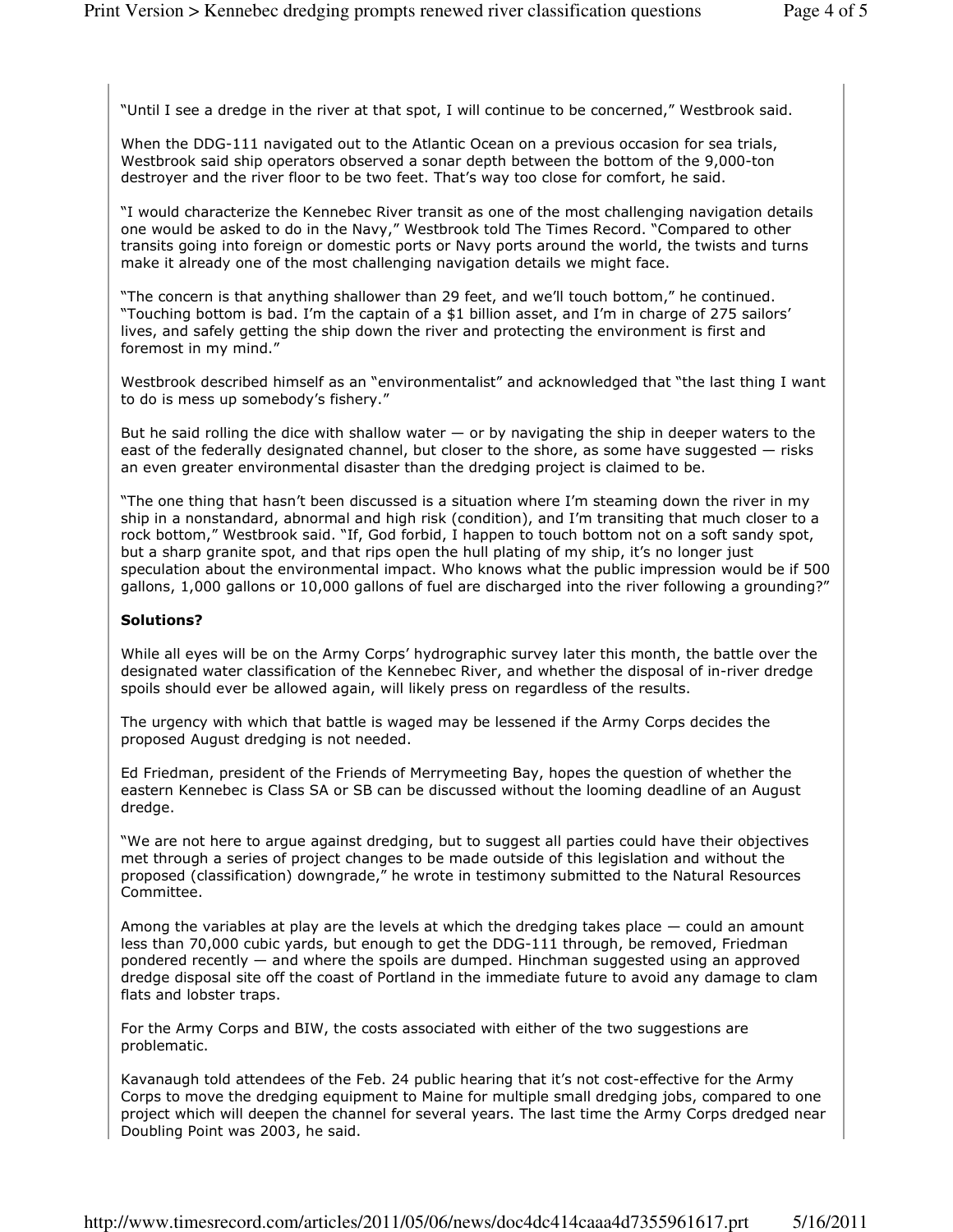"Until I see a dredge in the river at that spot, I will continue to be concerned," Westbrook said.

When the DDG-111 navigated out to the Atlantic Ocean on a previous occasion for sea trials, Westbrook said ship operators observed a sonar depth between the bottom of the 9,000-ton destroyer and the river floor to be two feet. That's way too close for comfort, he said.

"I would characterize the Kennebec River transit as one of the most challenging navigation details one would be asked to do in the Navy," Westbrook told The Times Record. "Compared to other transits going into foreign or domestic ports or Navy ports around the world, the twists and turns make it already one of the most challenging navigation details we might face.

"The concern is that anything shallower than 29 feet, and we'll touch bottom," he continued. "Touching bottom is bad. I'm the captain of a \$1 billion asset, and I'm in charge of 275 sailors' lives, and safely getting the ship down the river and protecting the environment is first and foremost in my mind."

Westbrook described himself as an "environmentalist" and acknowledged that "the last thing I want to do is mess up somebody's fishery."

But he said rolling the dice with shallow water  $-$  or by navigating the ship in deeper waters to the east of the federally designated channel, but closer to the shore, as some have suggested — risks an even greater environmental disaster than the dredging project is claimed to be.

"The one thing that hasn't been discussed is a situation where I'm steaming down the river in my ship in a nonstandard, abnormal and high risk (condition), and I'm transiting that much closer to a rock bottom," Westbrook said. "If, God forbid, I happen to touch bottom not on a soft sandy spot, but a sharp granite spot, and that rips open the hull plating of my ship, it's no longer just speculation about the environmental impact. Who knows what the public impression would be if 500 gallons, 1,000 gallons or 10,000 gallons of fuel are discharged into the river following a grounding?"

## Solutions?

While all eyes will be on the Army Corps' hydrographic survey later this month, the battle over the designated water classification of the Kennebec River, and whether the disposal of in-river dredge spoils should ever be allowed again, will likely press on regardless of the results.

The urgency with which that battle is waged may be lessened if the Army Corps decides the proposed August dredging is not needed.

Ed Friedman, president of the Friends of Merrymeeting Bay, hopes the question of whether the eastern Kennebec is Class SA or SB can be discussed without the looming deadline of an August dredge.

"We are not here to argue against dredging, but to suggest all parties could have their objectives met through a series of project changes to be made outside of this legislation and without the proposed (classification) downgrade," he wrote in testimony submitted to the Natural Resources Committee.

Among the variables at play are the levels at which the dredging takes place  $-$  could an amount less than 70,000 cubic yards, but enough to get the DDG-111 through, be removed, Friedman pondered recently — and where the spoils are dumped. Hinchman suggested using an approved dredge disposal site off the coast of Portland in the immediate future to avoid any damage to clam flats and lobster traps.

For the Army Corps and BIW, the costs associated with either of the two suggestions are problematic.

Kavanaugh told attendees of the Feb. 24 public hearing that it's not cost-effective for the Army Corps to move the dredging equipment to Maine for multiple small dredging jobs, compared to one project which will deepen the channel for several years. The last time the Army Corps dredged near Doubling Point was 2003, he said.